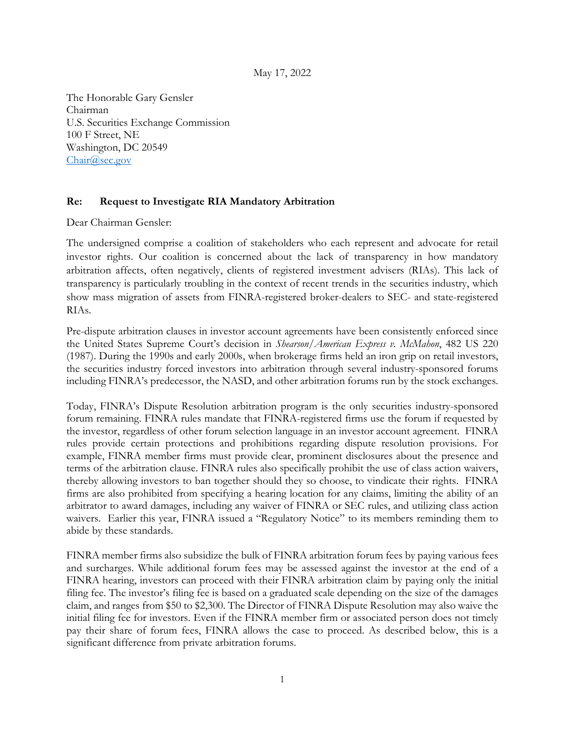May 17, 2022

The Honorable Gary Gensler Chairman U.S. Securities Exchange Commission 100 F Street, NE Washington, DC 20549 [Chair@sec.gov](mailto:Chair@sec.gov)

## **Re: Request to Investigate RIA Mandatory Arbitration**

Dear Chairman Gensler:

The undersigned comprise a coalition of stakeholders who each represent and advocate for retail investor rights. Our coalition is concerned about the lack of transparency in how mandatory arbitration affects, often negatively, clients of registered investment advisers (RIAs). This lack of transparency is particularly troubling in the context of recent trends in the securities industry, which show mass migration of assets from FINRA-registered broker-dealers to SEC- and state-registered RIAs.

Pre-dispute arbitration clauses in investor account agreements have been consistently enforced since the United States Supreme Court's decision in *Shearson/American Express v. McMahon*, 482 US 220 (1987). During the 1990s and early 2000s, when brokerage firms held an iron grip on retail investors, the securities industry forced investors into arbitration through several industry-sponsored forums including FINRA's predecessor, the NASD, and other arbitration forums run by the stock exchanges.

Today, FINRA's Dispute Resolution arbitration program is the only securities industry-sponsored forum remaining. FINRA rules mandate that FINRA-registered firms use the forum if requested by the investor, regardless of other forum selection language in an investor account agreement. FINRA rules provide certain protections and prohibitions regarding dispute resolution provisions. For example, FINRA member firms must provide clear, prominent disclosures about the presence and terms of the arbitration clause. FINRA rules also specifically prohibit the use of class action waivers, thereby allowing investors to ban together should they so choose, to vindicate their rights. FINRA firms are also prohibited from specifying a hearing location for any claims, limiting the ability of an arbitrator to award damages, including any waiver of FINRA or SEC rules, and utilizing class action waivers. Earlier this year, FINRA issued a "Regulatory Notice" to its members reminding them to abide by these standards.

FINRA member firms also subsidize the bulk of FINRA arbitration forum fees by paying various fees and surcharges. While additional forum fees may be assessed against the investor at the end of a FINRA hearing, investors can proceed with their FINRA arbitration claim by paying only the initial filing fee. The investor's filing fee is based on a graduated scale depending on the size of the damages claim, and ranges from \$50 to \$2,300. The Director of FINRA Dispute Resolution may also waive the initial filing fee for investors. Even if the FINRA member firm or associated person does not timely pay their share of forum fees, FINRA allows the case to proceed. As described below, this is a significant difference from private arbitration forums.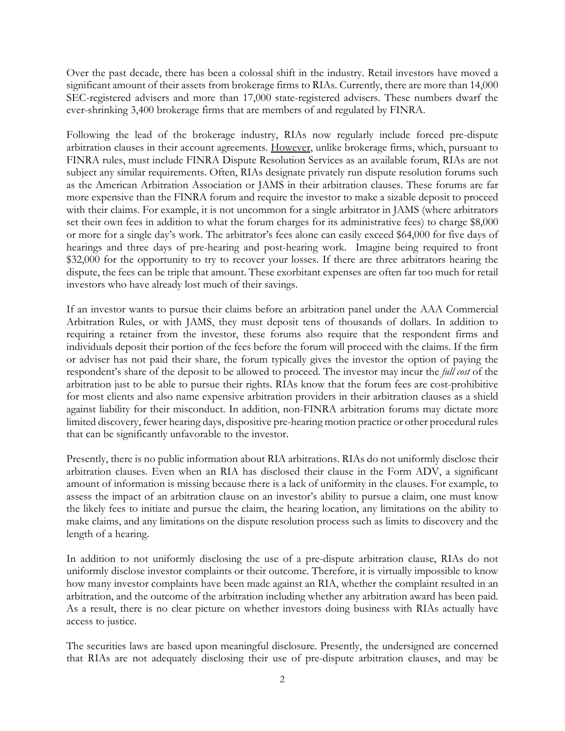Over the past decade, there has been a colossal shift in the industry. Retail investors have moved a significant amount of their assets from brokerage firms to RIAs. Currently, there are more than 14,000 SEC-registered advisers and more than 17,000 state-registered advisers. These numbers dwarf the ever-shrinking 3,400 brokerage firms that are members of and regulated by FINRA.

Following the lead of the brokerage industry, RIAs now regularly include forced pre-dispute arbitration clauses in their account agreements. However, unlike brokerage firms, which, pursuant to FINRA rules, must include FINRA Dispute Resolution Services as an available forum, RIAs are not subject any similar requirements. Often, RIAs designate privately run dispute resolution forums such as the American Arbitration Association or JAMS in their arbitration clauses. These forums are far more expensive than the FINRA forum and require the investor to make a sizable deposit to proceed with their claims. For example, it is not uncommon for a single arbitrator in JAMS (where arbitrators set their own fees in addition to what the forum charges for its administrative fees) to charge \$8,000 or more for a single day's work. The arbitrator's fees alone can easily exceed \$64,000 for five days of hearings and three days of pre-hearing and post-hearing work. Imagine being required to front \$32,000 for the opportunity to try to recover your losses. If there are three arbitrators hearing the dispute, the fees can be triple that amount. These exorbitant expenses are often far too much for retail investors who have already lost much of their savings.

If an investor wants to pursue their claims before an arbitration panel under the AAA Commercial Arbitration Rules, or with JAMS, they must deposit tens of thousands of dollars. In addition to requiring a retainer from the investor, these forums also require that the respondent firms and individuals deposit their portion of the fees before the forum will proceed with the claims. If the firm or adviser has not paid their share, the forum typically gives the investor the option of paying the respondent's share of the deposit to be allowed to proceed*.* The investor may incur the *full cost* of the arbitration just to be able to pursue their rights. RIAs know that the forum fees are cost-prohibitive for most clients and also name expensive arbitration providers in their arbitration clauses as a shield against liability for their misconduct. In addition, non-FINRA arbitration forums may dictate more limited discovery, fewer hearing days, dispositive pre-hearing motion practice or other procedural rules that can be significantly unfavorable to the investor.

Presently, there is no public information about RIA arbitrations. RIAs do not uniformly disclose their arbitration clauses. Even when an RIA has disclosed their clause in the Form ADV, a significant amount of information is missing because there is a lack of uniformity in the clauses. For example, to assess the impact of an arbitration clause on an investor's ability to pursue a claim, one must know the likely fees to initiate and pursue the claim, the hearing location, any limitations on the ability to make claims, and any limitations on the dispute resolution process such as limits to discovery and the length of a hearing.

In addition to not uniformly disclosing the use of a pre-dispute arbitration clause, RIAs do not uniformly disclose investor complaints or their outcome. Therefore, it is virtually impossible to know how many investor complaints have been made against an RIA, whether the complaint resulted in an arbitration, and the outcome of the arbitration including whether any arbitration award has been paid. As a result, there is no clear picture on whether investors doing business with RIAs actually have access to justice.

The securities laws are based upon meaningful disclosure. Presently, the undersigned are concerned that RIAs are not adequately disclosing their use of pre-dispute arbitration clauses, and may be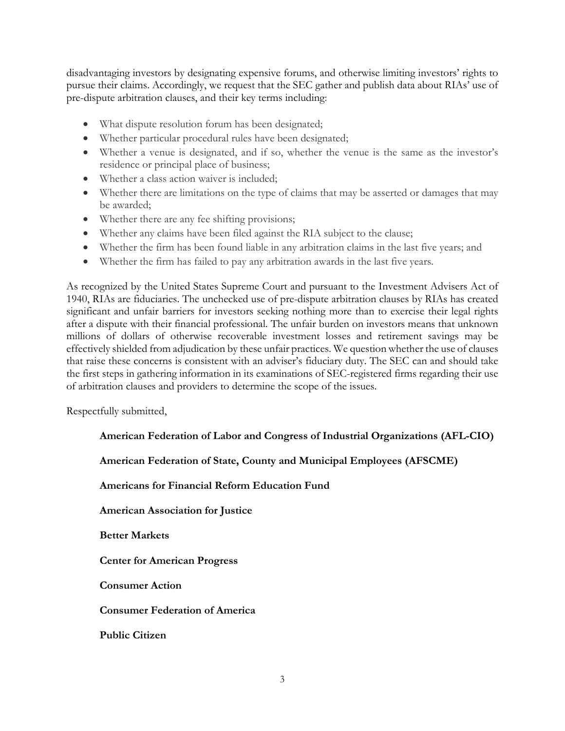disadvantaging investors by designating expensive forums, and otherwise limiting investors' rights to pursue their claims. Accordingly, we request that the SEC gather and publish data about RIAs' use of pre-dispute arbitration clauses, and their key terms including:

- What dispute resolution forum has been designated;
- Whether particular procedural rules have been designated;
- Whether a venue is designated, and if so, whether the venue is the same as the investor's residence or principal place of business;
- Whether a class action waiver is included;
- Whether there are limitations on the type of claims that may be asserted or damages that may be awarded;
- Whether there are any fee shifting provisions;
- Whether any claims have been filed against the RIA subject to the clause;
- Whether the firm has been found liable in any arbitration claims in the last five years; and
- Whether the firm has failed to pay any arbitration awards in the last five years.

As recognized by the United States Supreme Court and pursuant to the Investment Advisers Act of 1940, RIAs are fiduciaries. The unchecked use of pre-dispute arbitration clauses by RIAs has created significant and unfair barriers for investors seeking nothing more than to exercise their legal rights after a dispute with their financial professional. The unfair burden on investors means that unknown millions of dollars of otherwise recoverable investment losses and retirement savings may be effectively shielded from adjudication by these unfair practices. We question whether the use of clauses that raise these concerns is consistent with an adviser's fiduciary duty. The SEC can and should take the first steps in gathering information in its examinations of SEC-registered firms regarding their use of arbitration clauses and providers to determine the scope of the issues.

Respectfully submitted,

**American Federation of Labor and Congress of Industrial Organizations (AFL-CIO)**

**American Federation of State, County and Municipal Employees (AFSCME)**

**Americans for Financial Reform Education Fund**

**American Association for Justice**

**Better Markets**

**Center for American Progress**

**Consumer Action**

**Consumer Federation of America**

**Public Citizen**